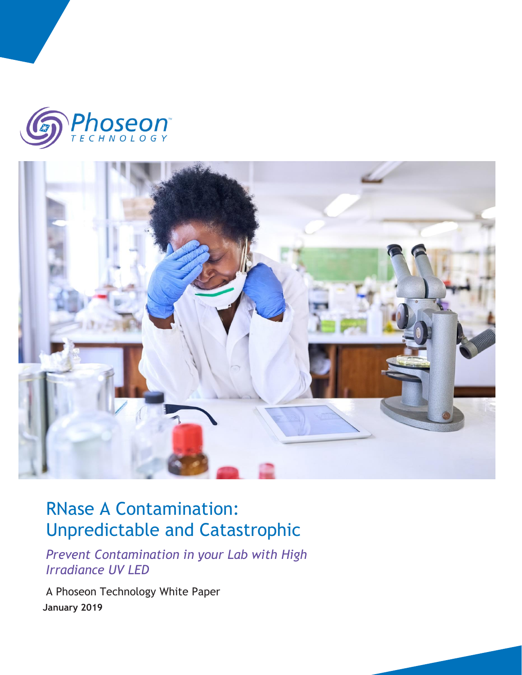



# RNase A Contamination: Unpredictable and Catastrophic

*Prevent Contamination in your Lab with High Irradiance UV LED* 

A Phoseon Technology White Paper  **January 2019**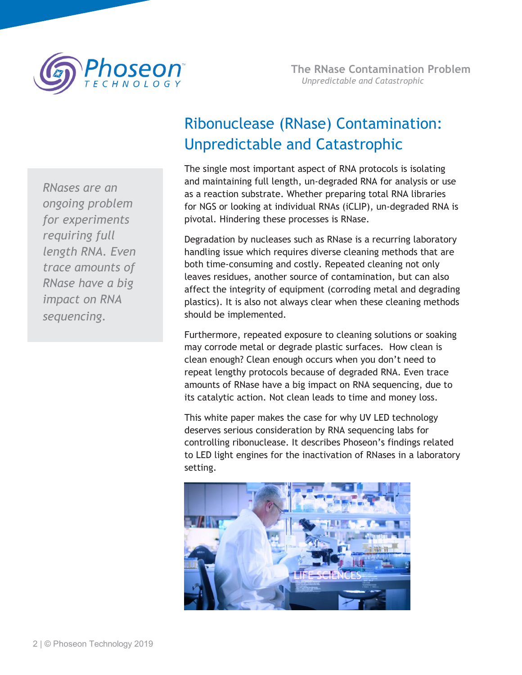

*RNases are an ongoing problem for experiments requiring full length RNA. Even trace amounts of RNase have a big impact on RNA sequencing.*

# Ribonuclease (RNase) Contamination: Unpredictable and Catastrophic

The single most important aspect of RNA protocols is isolating and maintaining full length, un-degraded RNA for analysis or use as a reaction substrate. Whether preparing total RNA libraries for NGS or looking at individual RNAs (iCLIP), un-degraded RNA is pivotal. Hindering these processes is RNase.

Degradation by nucleases such as RNase is a recurring laboratory handling issue which requires diverse cleaning methods that are both time-consuming and costly. Repeated cleaning not only leaves residues, another source of contamination, but can also affect the integrity of equipment (corroding metal and degrading plastics). It is also not always clear when these cleaning methods should be implemented.

Furthermore, repeated exposure to cleaning solutions or soaking may corrode metal or degrade plastic surfaces. How clean is clean enough? Clean enough occurs when you don't need to repeat lengthy protocols because of degraded RNA. Even trace amounts of RNase have a big impact on RNA sequencing, due to its catalytic action. Not clean leads to time and money loss.

This white paper makes the case for why UV LED technology deserves serious consideration by RNA sequencing labs for controlling ribonuclease. It describes Phoseon's findings related to LED light engines for the inactivation of RNases in a laboratory setting.

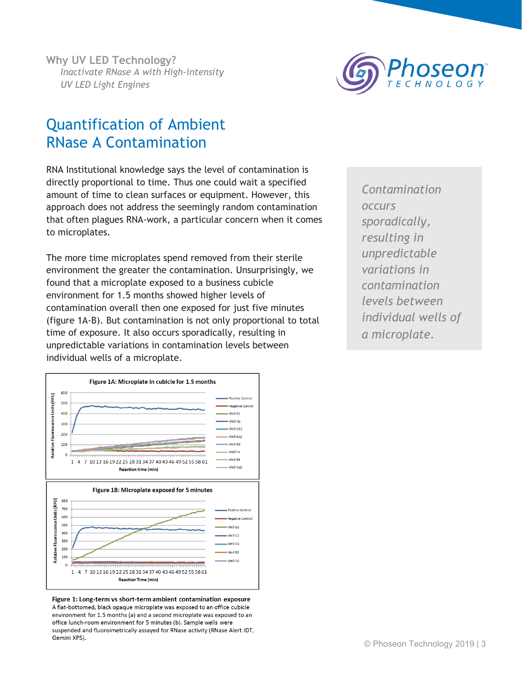

## Quantification of Ambient RNase A Contamination

RNA Institutional knowledge says the level of contamination is directly proportional to time. Thus one could wait a specified amount of time to clean surfaces or equipment. However, this approach does not address the seemingly random contamination that often plagues RNA-work, a particular concern when it comes to microplates.

The more time microplates spend removed from their sterile environment the greater the contamination. Unsurprisingly, we found that a microplate exposed to a business cubicle environment for 1.5 months showed higher levels of contamination overall then one exposed for just five minutes (figure 1A-B). But contamination is not only proportional to total time of exposure. It also occurs sporadically, resulting in unpredictable variations in contamination levels between individual wells of a microplate.

Figure 1A: Microplate in cubicle for 1.5 months 600 Relative Fluorescence Units (RFU) .<br>Poritive Control 500 Negative Control 400 Well B1 Well H2 300 Well G12 200 .<br>Well B12 100 Well B6 Well F4 Well E9 1 4 7 10 13 16 19 22 25 28 31 34 37 40 43 46 49 52 55 58 61 Well A10 **Reaction time (min)** Figure 1B: Microplate exposed for 5 minutes Relative Fluorescence Units (RFU) 800 700 Positive Control 600 Negative Control 500 Well B2 400 Vell C2 300 Well D2 200 Well E2 100 Well F2 1 4 7 10 13 16 19 22 25 28 31 34 37 40 43 46 49 52 55 58 61 **Reaction Time (min)** 

Figure 1: Long-term vs short-term ambient contamination exposure A flat-bottomed, black opaque microplate was exposed to an office cubicle environment for 1.5 months (a) and a second microplate was exposed to an office lunch-room environment for 5 minutes (b). Sample wells were suspended and fluoroimetrically assayed for RNase activity (RNase Alert IDT, Gemini XPS).

*Contamination occurs sporadically, resulting in unpredictable variations in contamination levels between individual wells of a microplate.*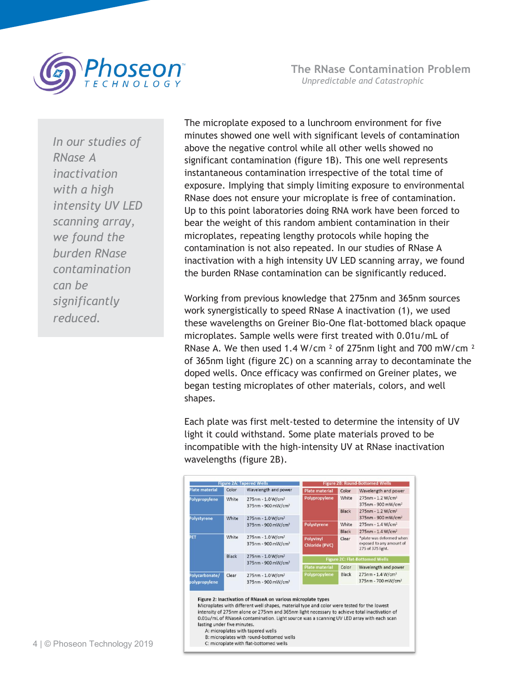

**The RNase Contamination Problem** *Unpredictable and Catastrophic*

*In our studies of RNase A inactivation with a high intensity UV LED scanning array, we found the burden RNase contamination can be significantly reduced.*

The microplate exposed to a lunchroom environment for five minutes showed one well with significant levels of contamination above the negative control while all other wells showed no significant contamination (figure 1B). This one well represents instantaneous contamination irrespective of the total time of exposure. Implying that simply limiting exposure to environmental RNase does not ensure your microplate is free of contamination. Up to this point laboratories doing RNA work have been forced to bear the weight of this random ambient contamination in their microplates, repeating lengthy protocols while hoping the contamination is not also repeated. In our studies of RNase A inactivation with a high intensity UV LED scanning array, we found the burden RNase contamination can be significantly reduced.

Working from previous knowledge that 275nm and 365nm sources work synergistically to speed RNase A inactivation (1), we used these wavelengths on Greiner Bio-One flat-bottomed black opaque microplates. Sample wells were first treated with 0.01u/mL of RNase A. We then used 1.4 W/cm ² of 275nm light and 700 mW/cm ² of 365nm light (figure 2C) on a scanning array to decontaminate the doped wells. Once efficacy was confirmed on Greiner plates, we began testing microplates of other materials, colors, and well shapes.

Each plate was first melt-tested to determine the intensity of UV light it could withstand. Some plate materials proved to be incompatible with the high-intensity UV at RNase inactivation wavelengths (figure 2B).

| <b>Figure 2A: Tapered Wells</b> |       |                                                                 | <b>Figure 2B: Round-Bottomed Wells</b> |              |                                                                           |
|---------------------------------|-------|-----------------------------------------------------------------|----------------------------------------|--------------|---------------------------------------------------------------------------|
| Plate material                  | Color | Wavelength and power                                            | <b>Plate material</b>                  | Color        | Wavelength and power                                                      |
| Polypropylene                   | White | 275nm - 1.0 W/cm <sup>2</sup><br>375nm - 900 mW/cm <sup>2</sup> | Polypropylene                          | White        | 275nm - 1.2 W/cm <sup>2</sup><br>375nm - 900 mW/cm <sup>2</sup>           |
| Polystyrene                     | White | $275nm - 1.0 W/cm^2$<br>375nm - 900 mW/cm <sup>2</sup>          |                                        | <b>Black</b> | 275nm - 1.2 W/cm <sup>2</sup><br>375nm - 900 mW/cm <sup>2</sup>           |
|                                 |       |                                                                 | Polystyrene                            | White        | $275$ nm - 1.4 W/cm <sup>2</sup>                                          |
|                                 |       |                                                                 |                                        | Black        | 275nm - 1.4 W/cm <sup>2</sup>                                             |
| PET                             | White | 275nm - 1.0 W/cm <sup>2</sup><br>375nm - 900 mW/cm <sup>2</sup> | Polyvinyl<br><b>Chloride (PVC)</b>     | Clear        | *plate was deformed when<br>exposed to any amount of<br>275 of 375 light. |
|                                 | Black | 275nm - 1.0 W/cm <sup>2</sup><br>375nm - 900 mW/cm <sup>2</sup> | <b>Figure 2C: Flat-Bottomed Wells</b>  |              |                                                                           |
|                                 |       |                                                                 | <b>Plate material</b>                  | Color        | Wavelength and power                                                      |
| Polycarbonate/<br>polypropylene | Clear | 275nm - 1.0 W/cm <sup>2</sup><br>375nm - 900 mW/cm <sup>2</sup> | Polypropylene                          | Black        | 275nm - 1.4 W/cm <sup>2</sup><br>375nm - 700 mW/cm <sup>2</sup>           |

Microplates with different well shapes, material type and color were tested for the lowest intensity of 275nm alone or 275nm and 365nm light necessary to achieve total inactivation of 0.01u/mL of RNaseA contamination. Light source was a scanning UV LED array with each scan lasting under five minutes. A: microplates with tapered wells

B: microplates with round-bottomed wells C: microplate with flat-bottomed wells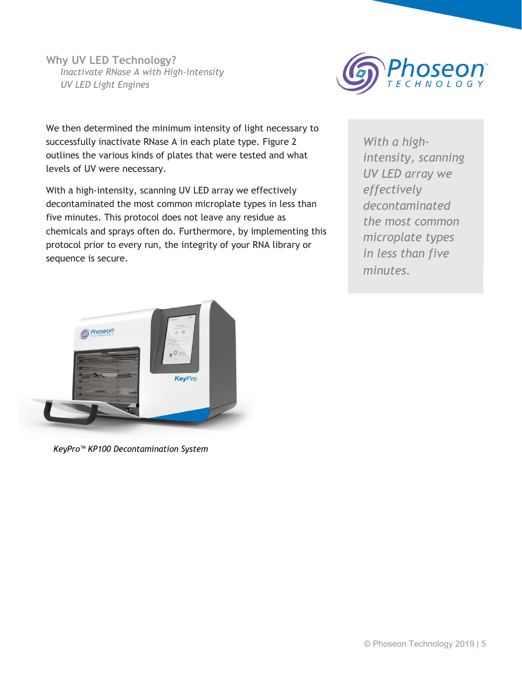

We then determined the minimum intensity of light necessary to successfully inactivate RNase A in each plate type. Figure 2 outlines the various kinds of plates that were tested and what levels of UV were necessary.

With a high-intensity, scanning UV LED array we effectively decontaminated the most common microplate types in less than five minutes. This protocol does not leave any residue as chemicals and sprays often do. Furthermore, by implementing this protocol prior to every run, the integrity of your RNA library or sequence is secure.

*intensity, scanning With a highintensity, scanning effectively UV LED array we decontaminated effectively the most common decontaminated microplate types the most common in less than five microplate types minutes. in less than five minutes.*



*KeyPro™ KP100 Decontamination System*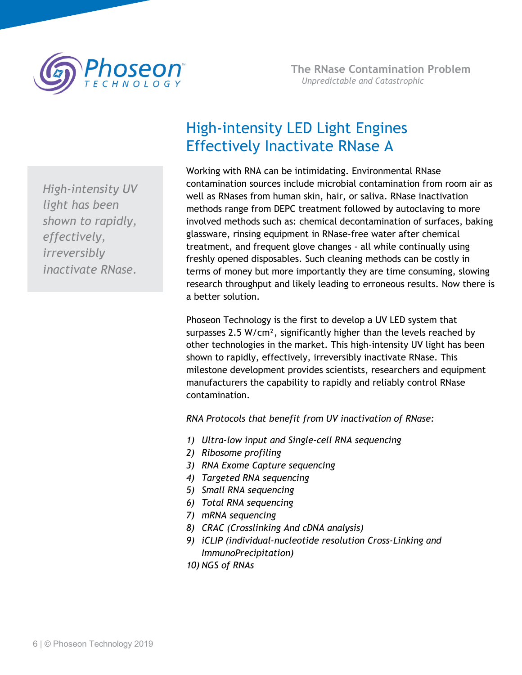

*High-intensity UV light has been shown to rapidly, effectively, irreversibly inactivate RNase.*

# High-intensity LED Light Engines Effectively Inactivate RNase A

Working with RNA can be intimidating. Environmental RNase contamination sources include microbial contamination from room air as well as RNases from human skin, hair, or saliva. RNase inactivation methods range from DEPC treatment followed by autoclaving to more involved methods such as: chemical decontamination of surfaces, baking glassware, rinsing equipment in RNase-free water after chemical treatment, and frequent glove changes - all while continually using freshly opened disposables. Such cleaning methods can be costly in terms of money but more importantly they are time consuming, slowing research throughput and likely leading to erroneous results. Now there is a better solution.

Phoseon Technology is the first to develop a UV LED system that surpasses 2.5 W/cm², significantly higher than the levels reached by other technologies in the market. This high-intensity UV light has been shown to rapidly, effectively, irreversibly inactivate RNase. This milestone development provides scientists, researchers and equipment manufacturers the capability to rapidly and reliably control RNase contamination.

*RNA Protocols that benefit from UV inactivation of RNase:*

- *1) Ultra-low input and Single-cell RNA sequencing*
- *2) Ribosome profiling*
- *3) RNA Exome Capture sequencing*
- *4) Targeted RNA sequencing*
- *5) Small RNA sequencing*
- *6) Total RNA sequencing*
- *7) mRNA sequencing*
- *8) CRAC (Crosslinking And cDNA analysis)*
- *9) iCLIP (individual-nucleotide resolution Cross-Linking and ImmunoPrecipitation)*
- *10) NGS of RNAs*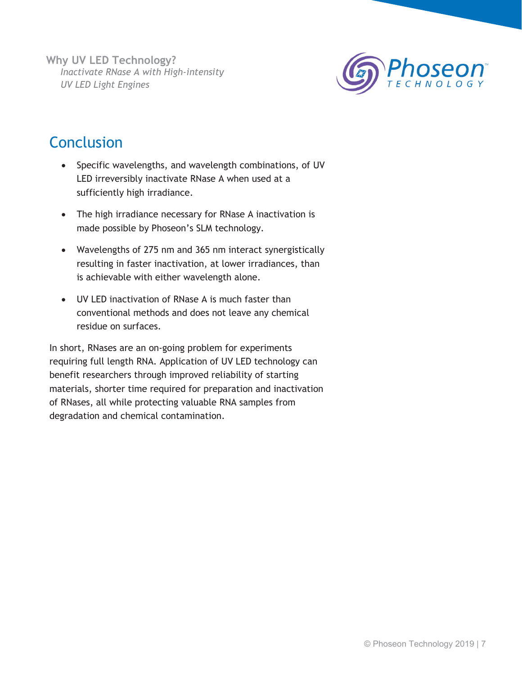

# **Conclusion**

- Specific wavelengths, and wavelength combinations, of UV LED irreversibly inactivate RNase A when used at a sufficiently high irradiance.
- The high irradiance necessary for RNase A inactivation is made possible by Phoseon's SLM technology.
- Wavelengths of 275 nm and 365 nm interact synergistically resulting in faster inactivation, at lower irradiances, than is achievable with either wavelength alone.
- UV LED inactivation of RNase A is much faster than conventional methods and does not leave any chemical residue on surfaces.

In short, RNases are an on-going problem for experiments requiring full length RNA. Application of UV LED technology can benefit researchers through improved reliability of starting materials, shorter time required for preparation and inactivation of RNases, all while protecting valuable RNA samples from degradation and chemical contamination.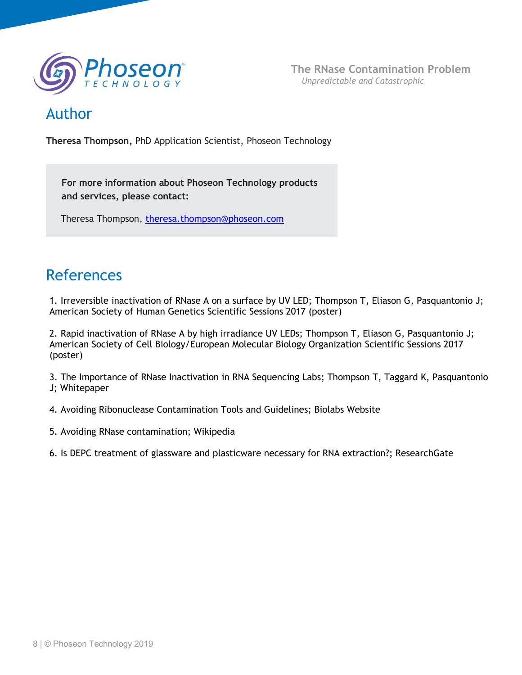

### Author

**Theresa Thompson,** PhD Application Scientist, Phoseon Technology

**For more information about Phoseon Technology products and services, please contact:**

Theresa Thompson, [theresa.thompson@phoseon.com](mailto:theresa.thompson@phoseon.com)

# References

1. Irreversible inactivation of RNase A on a surface by UV LED; Thompson T, Eliason G, Pasquantonio J; American Society of Human Genetics Scientific Sessions 2017 (poster)

2. Rapid inactivation of RNase A by high irradiance UV LEDs; Thompson T, Eliason G, Pasquantonio J; American Society of Cell Biology/European Molecular Biology Organization Scientific Sessions 2017 (poster)

3. The Importance of RNase Inactivation in RNA Sequencing Labs; Thompson T, Taggard K, Pasquantonio J; Whitepaper

4. Avoiding Ribonuclease Contamination Tools and Guidelines; Biolabs Website

5. Avoiding RNase contamination; Wikipedia

6. Is DEPC treatment of glassware and plasticware necessary for RNA extraction?; ResearchGate